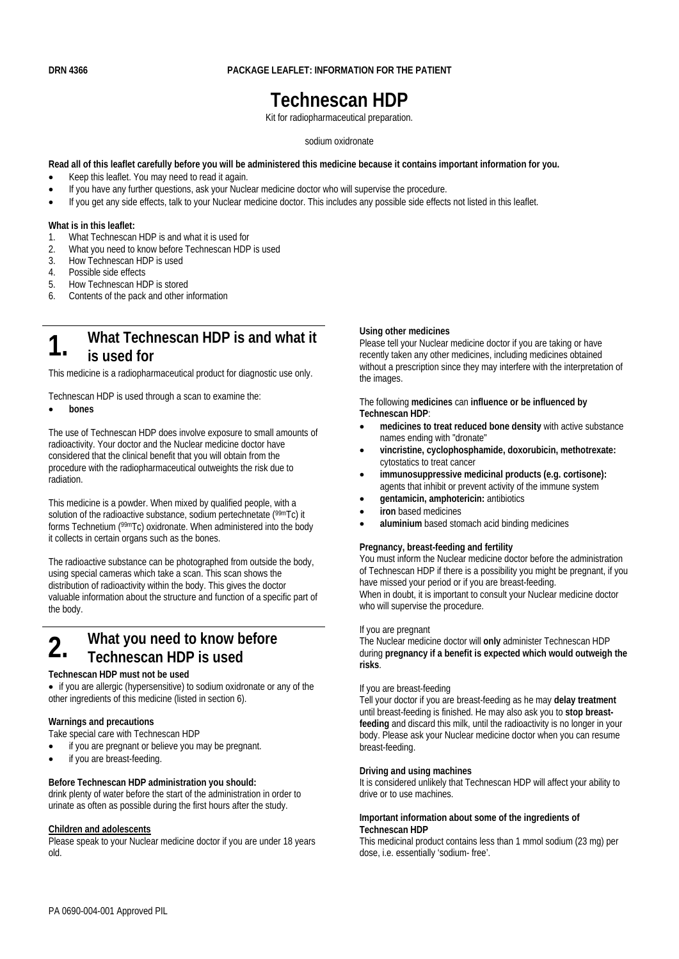## **DRN 4366 PACKAGE LEAFLET: INFORMATION FOR THE PATIENT**

# **Technescan HDP**

Kit for radiopharmaceutical preparation.

#### sodium oxidronate

#### **Read all of this leaflet carefully before you will be administered this medicine because it contains important information for you.**

- Keep this leaflet. You may need to read it again.
- If you have any further questions, ask your Nuclear medicine doctor who will supervise the procedure.
- If you get any side effects, talk to your Nuclear medicine doctor. This includes any possible side effects not listed in this leaflet.

#### **What is in this leaflet:**

- 1. What Technescan HDP is and what it is used for
- 2. What you need to know before Technescan HDP is used
- 3. How Technescan HDP is used
- 4. Possible side effects
- 5. How Technescan HDP is stored
- 6. Contents of the pack and other information

# **1.** What Technescan HDP is and what it **is used for**

This medicine is a radiopharmaceutical product for diagnostic use only.

Technescan HDP is used through a scan to examine the:

#### **bones**

The use of Technescan HDP does involve exposure to small amounts of radioactivity. Your doctor and the Nuclear medicine doctor have considered that the clinical benefit that you will obtain from the procedure with the radiopharmaceutical outweights the risk due to radiation.

This medicine is a powder. When mixed by qualified people, with a solution of the radioactive substance, sodium pertechnetate (99mTc) it forms Technetium (99mTc) oxidronate. When administered into the body it collects in certain organs such as the bones.

The radioactive substance can be photographed from outside the body, using special cameras which take a scan. This scan shows the distribution of radioactivity within the body. This gives the doctor valuable information about the structure and function of a specific part of the body.

# **2.** What you need to know before **Technescan HDP is used**

#### **Technescan HDP must not be used**

• if you are allergic (hypersensitive) to sodium oxidronate or any of the other ingredients of this medicine (listed in section 6).

#### **Warnings and precautions**

Take special care with Technescan HDP

- if you are pregnant or believe you may be pregnant.
- if you are breast-feeding.

#### **Before Technescan HDP administration you should:**

drink plenty of water before the start of the administration in order to urinate as often as possible during the first hours after the study.

### **Children and adolescents**

Please speak to your Nuclear medicine doctor if you are under 18 years old.

#### **Using other medicines**

Please tell your Nuclear medicine doctor if you are taking or have recently taken any other medicines, including medicines obtained without a prescription since they may interfere with the interpretation of the images.

The following **medicines** can **influence or be influenced by Technescan HDP**:

- **medicines to treat reduced bone density** with active substance names ending with "dronate"
- **vincristine, cyclophosphamide, doxorubicin, methotrexate:**  cytostatics to treat cancer
- **immunosuppressive medicinal products (e.g. cortisone):**  agents that inhibit or prevent activity of the immune system
- **gentamicin, amphotericin:** antibiotics
- **iron** based medicines
- **aluminium** based stomach acid binding medicines

#### **Pregnancy, breast-feeding and fertility**

You must inform the Nuclear medicine doctor before the administration of Technescan HDP if there is a possibility you might be pregnant, if you have missed your period or if you are breast-feeding. When in doubt, it is important to consult your Nuclear medicine doctor who will supervise the procedure.

#### If you are pregnant

The Nuclear medicine doctor will **only** administer Technescan HDP during **pregnancy if a benefit is expected which would outweigh the risks**.

#### If you are breast-feeding

Tell your doctor if you are breast-feeding as he may **delay treatment** until breast-feeding is finished. He may also ask you to **stop breastfeeding** and discard this milk, until the radioactivity is no longer in your body. Please ask your Nuclear medicine doctor when you can resume breast-feeding.

#### **Driving and using machines**

It is considered unlikely that Technescan HDP will affect your ability to drive or to use machines.

#### **Important information about some of the ingredients of Technescan HDP**

This medicinal product contains less than 1 mmol sodium (23 mg) per dose, i.e. essentially 'sodium- free'.